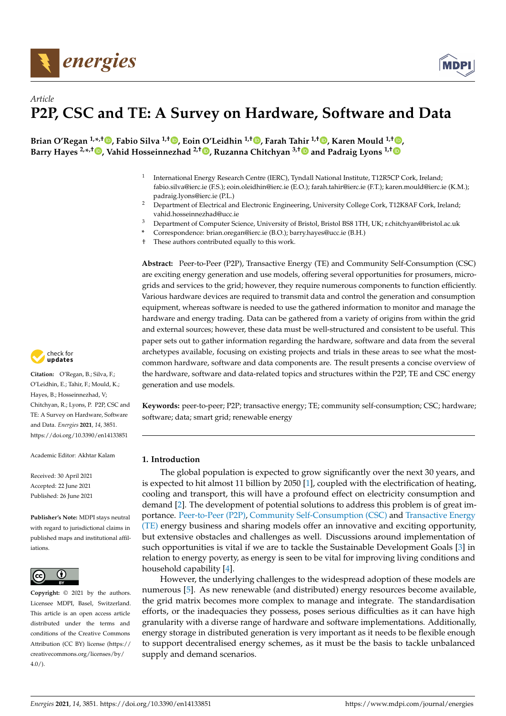<span id="page-0-0"></span>



## *Article* **P2P, CSC and TE: A Survey on Hardware, Software and Data**

**Brian O'Regan 1,\* ,† [,](https://orcid.org/0000-0002-3627-2353) Fabio Silva 1,† [,](https://orcid.org/0000-0001-6019-372X) Eoin O'Leidhin 1,† [,](https://orcid.org/0000-0002-7443-1431) Farah Tahir 1,† [,](https://orcid.org/0000-0002-1696-7828) Karen Mould 1,† [,](https://orcid.org/0000-0001-9692-4790) Barry Hayes 2,\* ,† [,](https://orcid.org/0000-0001-5171-9056) Vahid Hosseinnezhad 2,† [,](https://orcid.org/0000-0002-0995-202X) Ruzanna Chitchyan 3,[†](https://orcid.org/0000-0001-6293-3445) and Padraig Lyons 1,[†](https://orcid.org/0000-0001-6508-539X)**

- 1 International Energy Research Centre (IERC), Tyndall National Institute, T12R5CP Cork, Ireland; fabio.silva@ierc.ie (F.S.); eoin.oleidhin@ierc.ie (E.O.); farah.tahir@ierc.ie (F.T.); karen.mould@ierc.ie (K.M.); padraig.lyons@ierc.ie (P.L.)
- <sup>2</sup> Department of Electrical and Electronic Engineering, University College Cork, T12K8AF Cork, Ireland; vahid.hosseinnezhad@ucc.ie
- <sup>3</sup> Department of Computer Science, University of Bristol, Bristol BS8 1TH, UK; r.chitchyan@bristol.ac.uk
- **\*** Correspondence: brian.oregan@ierc.ie (B.O.); barry.hayes@ucc.ie (B.H.)
- † These authors contributed equally to this work.

**Abstract:** Peer-to-Peer (P2P), Transactive Energy (TE) and Community Self-Consumption (CSC) are exciting energy generation and use models, offering several opportunities for prosumers, microgrids and services to the grid; however, they require numerous components to function efficiently. Various hardware devices are required to transmit data and control the generation and consumption equipment, whereas software is needed to use the gathered information to monitor and manage the hardware and energy trading. Data can be gathered from a variety of origins from within the grid and external sources; however, these data must be well-structured and consistent to be useful. This paper sets out to gather information regarding the hardware, software and data from the several archetypes available, focusing on existing projects and trials in these areas to see what the mostcommon hardware, software and data components are. The result presents a concise overview of the hardware, software and data-related topics and structures within the P2P, TE and CSC energy generation and use models.

**Keywords:** peer-to-peer; P2P; transactive energy; TE; community self-consumption; CSC; hardware; software; data; smart grid; renewable energy

## **1. Introduction**

The global population is expected to grow significantly over the next 30 years, and is expected to hit almost 11 billion by 2050 [\[1\]](#page-18-0), coupled with the electrification of heating, cooling and transport, this will have a profound effect on electricity consumption and demand [\[2\]](#page-18-1). The development of potential solutions to address this problem is of great importance. Peer-to-Peer (P2P), Community Self-Consumption (CSC) and Transactive Energy (TE) energy business and sharing models offer an innovative and exciting opportunity, but extensive obstacles and challenges as well. Discussions around implementation of such opportunities is vital if we are to tackle the Sustainable Development Goals [\[3\]](#page-18-2) in relation to energy poverty, as energy is seen to be vital for improving living conditions and household capability [\[4\]](#page-18-3).

However, the underlying challenges to the widespread adoption of these models are numerous [\[5\]](#page-18-4). As new renewable (and distributed) energy resources become available, the grid matrix becomes more complex to manage and integrate. The standardisation efforts, or the inadequacies they possess, poses serious difficulties as it can have high granularity with a diverse range of hardware and software implementations. Additionally, energy storage in distributed generation is very important as it needs to be flexible enough to support decentralised energy schemes, as it must be the basis to tackle unbalanced supply and demand scenarios.



**Citation:** O'Regan, B.; Silva, F.; O'Leidhin, E.; Tahir, F.; Mould, K.; Hayes, B.; Hosseinnezhad, V; Chitchyan, R.; Lyons, P. P2P, CSC and TE: A Survey on Hardware, Software and Data. *Energies* **2021**, *14*, 3851. <https://doi.org/10.3390/en14133851>

Academic Editor: Akhtar Kalam

Received: 30 April 2021 Accepted: 22 June 2021 Published: 26 June 2021

**Publisher's Note:** MDPI stays neutral with regard to jurisdictional claims in published maps and institutional affiliations.



**Copyright:** © 2021 by the authors. Licensee MDPI, Basel, Switzerland. This article is an open access article distributed under the terms and conditions of the Creative Commons Attribution (CC BY) license (https:/[/](https://creativecommons.org/licenses/by/4.0/) [creativecommons.org/licenses/by/](https://creativecommons.org/licenses/by/4.0/)  $4.0/$ ).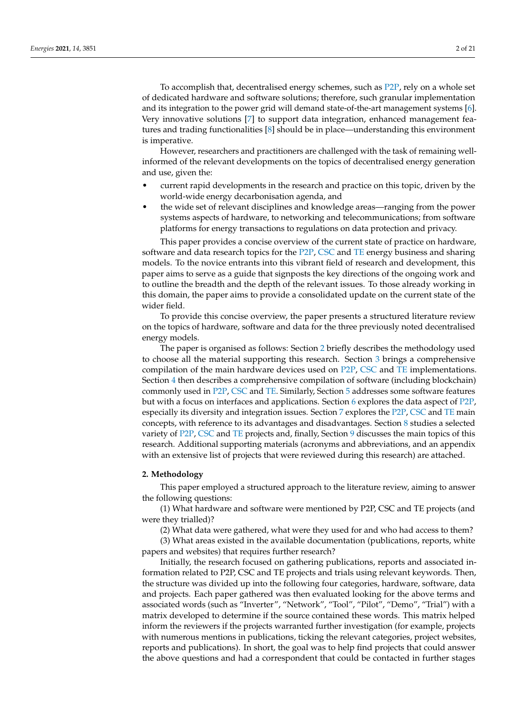To accomplish that, decentralised energy schemes, such as [P2P,](#page-0-0) rely on a whole set of dedicated hardware and software solutions; therefore, such granular implementation and its integration to the power grid will demand state-of-the-art management systems [\[6\]](#page-18-5). Very innovative solutions [\[7\]](#page-18-6) to support data integration, enhanced management features and trading functionalities [\[8\]](#page-18-7) should be in place—understanding this environment is imperative.

However, researchers and practitioners are challenged with the task of remaining wellinformed of the relevant developments on the topics of decentralised energy generation and use, given the:

- current rapid developments in the research and practice on this topic, driven by the world-wide energy decarbonisation agenda, and
- the wide set of relevant disciplines and knowledge areas—ranging from the power systems aspects of hardware, to networking and telecommunications; from software platforms for energy transactions to regulations on data protection and privacy.

This paper provides a concise overview of the current state of practice on hardware, software and data research topics for the [P2P,](#page-0-0) [CSC](#page-0-0) and [TE](#page-0-0) energy business and sharing models. To the novice entrants into this vibrant field of research and development, this paper aims to serve as a guide that signposts the key directions of the ongoing work and to outline the breadth and the depth of the relevant issues. To those already working in this domain, the paper aims to provide a consolidated update on the current state of the wider field.

To provide this concise overview, the paper presents a structured literature review on the topics of hardware, software and data for the three previously noted decentralised energy models.

The paper is organised as follows: Section [2](#page-1-0) briefly describes the methodology used to choose all the material supporting this research. Section [3](#page-2-0) brings a comprehensive compilation of the main hardware devices used on [P2P,](#page-0-0) [CSC](#page-0-0) and [TE](#page-0-0) implementations. Section [4](#page-5-0) then describes a comprehensive compilation of software (including blockchain) commonly used in [P2P,](#page-0-0) [CSC](#page-0-0) and [TE.](#page-0-0) Similarly, Section [5](#page-6-0) addresses some software features but with a focus on interfaces and applications. Section [6](#page-6-1) explores the data aspect of [P2P,](#page-0-0) especially its diversity and integration issues. Section [7](#page-8-0) explores the [P2P,](#page-0-0) [CSC](#page-0-0) and [TE](#page-0-0) main concepts, with reference to its advantages and disadvantages. Section [8](#page-9-0) studies a selected variety of [P2P,](#page-0-0) [CSC](#page-0-0) and [TE](#page-0-0) projects and, finally, Section [9](#page-11-0) discusses the main topics of this research. Additional supporting materials (acronyms and abbreviations, and an appendix with an extensive list of projects that were reviewed during this research) are attached.

## <span id="page-1-0"></span>**2. Methodology**

This paper employed a structured approach to the literature review, aiming to answer the following questions:

(1) What hardware and software were mentioned by P2P, CSC and TE projects (and were they trialled)?

(2) What data were gathered, what were they used for and who had access to them?

(3) What areas existed in the available documentation (publications, reports, white papers and websites) that requires further research?

Initially, the research focused on gathering publications, reports and associated information related to P2P, CSC and TE projects and trials using relevant keywords. Then, the structure was divided up into the following four categories, hardware, software, data and projects. Each paper gathered was then evaluated looking for the above terms and associated words (such as "Inverter", "Network", "Tool", "Pilot", "Demo", "Trial") with a matrix developed to determine if the source contained these words. This matrix helped inform the reviewers if the projects warranted further investigation (for example, projects with numerous mentions in publications, ticking the relevant categories, project websites, reports and publications). In short, the goal was to help find projects that could answer the above questions and had a correspondent that could be contacted in further stages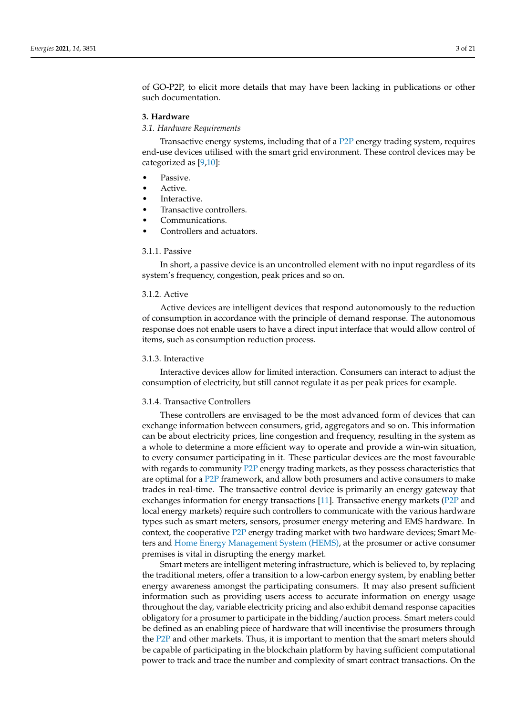of GO-P2P, to elicit more details that may have been lacking in publications or other such documentation.

## <span id="page-2-0"></span>**3. Hardware**

## *3.1. Hardware Requirements*

Transactive energy systems, including that of a [P2P](#page-0-0) energy trading system, requires end-use devices utilised with the smart grid environment. These control devices may be categorized as [\[9](#page-18-8)[,10\]](#page-18-9):

- Passive.
- Active.
- Interactive.
- Transactive controllers.
- Communications.
- Controllers and actuators.

## 3.1.1. Passive

In short, a passive device is an uncontrolled element with no input regardless of its system's frequency, congestion, peak prices and so on.

## 3.1.2. Active

Active devices are intelligent devices that respond autonomously to the reduction of consumption in accordance with the principle of demand response. The autonomous response does not enable users to have a direct input interface that would allow control of items, such as consumption reduction process.

## 3.1.3. Interactive

Interactive devices allow for limited interaction. Consumers can interact to adjust the consumption of electricity, but still cannot regulate it as per peak prices for example.

#### 3.1.4. Transactive Controllers

These controllers are envisaged to be the most advanced form of devices that can exchange information between consumers, grid, aggregators and so on. This information can be about electricity prices, line congestion and frequency, resulting in the system as a whole to determine a more efficient way to operate and provide a win-win situation, to every consumer participating in it. These particular devices are the most favourable with regards to community [P2P](#page-0-0) energy trading markets, as they possess characteristics that are optimal for a [P2P](#page-0-0) framework, and allow both prosumers and active consumers to make trades in real-time. The transactive control device is primarily an energy gateway that exchanges information for energy transactions [\[11\]](#page-18-10). Transactive energy markets [\(P2P](#page-0-0) and local energy markets) require such controllers to communicate with the various hardware types such as smart meters, sensors, prosumer energy metering and EMS hardware. In context, the cooperative [P2P](#page-0-0) energy trading market with two hardware devices; Smart Meters and [Home Energy Management System \(HEMS\),](#page-0-0) at the prosumer or active consumer premises is vital in disrupting the energy market.

Smart meters are intelligent metering infrastructure, which is believed to, by replacing the traditional meters, offer a transition to a low-carbon energy system, by enabling better energy awareness amongst the participating consumers. It may also present sufficient information such as providing users access to accurate information on energy usage throughout the day, variable electricity pricing and also exhibit demand response capacities obligatory for a prosumer to participate in the bidding/auction process. Smart meters could be defined as an enabling piece of hardware that will incentivise the prosumers through the [P2P](#page-0-0) and other markets. Thus, it is important to mention that the smart meters should be capable of participating in the blockchain platform by having sufficient computational power to track and trace the number and complexity of smart contract transactions. On the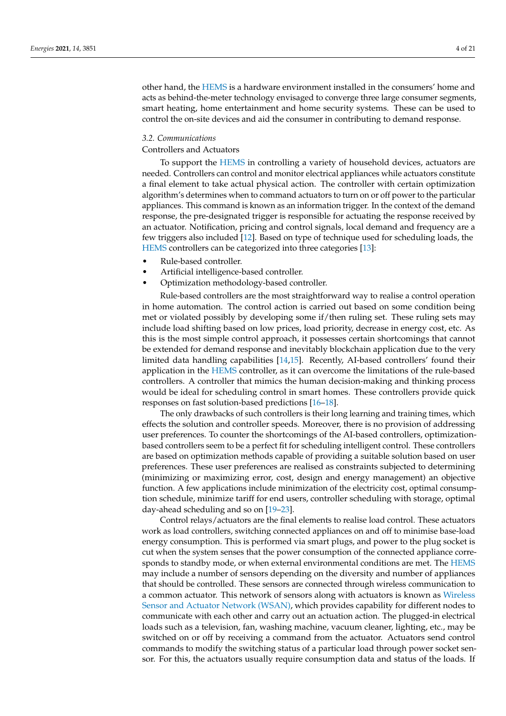other hand, the [HEMS](#page-0-0) is a hardware environment installed in the consumers' home and acts as behind-the-meter technology envisaged to converge three large consumer segments, smart heating, home entertainment and home security systems. These can be used to control the on-site devices and aid the consumer in contributing to demand response.

## *3.2. Communications*

## Controllers and Actuators

To support the [HEMS](#page-0-0) in controlling a variety of household devices, actuators are needed. Controllers can control and monitor electrical appliances while actuators constitute a final element to take actual physical action. The controller with certain optimization algorithm's determines when to command actuators to turn on or off power to the particular appliances. This command is known as an information trigger. In the context of the demand response, the pre-designated trigger is responsible for actuating the response received by an actuator. Notification, pricing and control signals, local demand and frequency are a few triggers also included [\[12\]](#page-18-11). Based on type of technique used for scheduling loads, the [HEMS](#page-0-0) controllers can be categorized into three categories [\[13\]](#page-18-12):

- Rule-based controller.
- Artificial intelligence-based controller.
- Optimization methodology-based controller.

Rule-based controllers are the most straightforward way to realise a control operation in home automation. The control action is carried out based on some condition being met or violated possibly by developing some if/then ruling set. These ruling sets may include load shifting based on low prices, load priority, decrease in energy cost, etc. As this is the most simple control approach, it possesses certain shortcomings that cannot be extended for demand response and inevitably blockchain application due to the very limited data handling capabilities [\[14](#page-18-13)[,15\]](#page-18-14). Recently, AI-based controllers' found their application in the [HEMS](#page-0-0) controller, as it can overcome the limitations of the rule-based controllers. A controller that mimics the human decision-making and thinking process would be ideal for scheduling control in smart homes. These controllers provide quick responses on fast solution-based predictions [\[16–](#page-18-15)[18\]](#page-18-16).

The only drawbacks of such controllers is their long learning and training times, which effects the solution and controller speeds. Moreover, there is no provision of addressing user preferences. To counter the shortcomings of the AI-based controllers, optimizationbased controllers seem to be a perfect fit for scheduling intelligent control. These controllers are based on optimization methods capable of providing a suitable solution based on user preferences. These user preferences are realised as constraints subjected to determining (minimizing or maximizing error, cost, design and energy management) an objective function. A few applications include minimization of the electricity cost, optimal consumption schedule, minimize tariff for end users, controller scheduling with storage, optimal day-ahead scheduling and so on [\[19–](#page-18-17)[23\]](#page-18-18).

Control relays/actuators are the final elements to realise load control. These actuators work as load controllers, switching connected appliances on and off to minimise base-load energy consumption. This is performed via smart plugs, and power to the plug socket is cut when the system senses that the power consumption of the connected appliance corresponds to standby mode, or when external environmental conditions are met. The [HEMS](#page-0-0) may include a number of sensors depending on the diversity and number of appliances that should be controlled. These sensors are connected through wireless communication to a common actuator. This network of sensors along with actuators is known as [Wireless](#page-0-0) [Sensor and Actuator Network \(WSAN\),](#page-0-0) which provides capability for different nodes to communicate with each other and carry out an actuation action. The plugged-in electrical loads such as a television, fan, washing machine, vacuum cleaner, lighting, etc., may be switched on or off by receiving a command from the actuator. Actuators send control commands to modify the switching status of a particular load through power socket sensor. For this, the actuators usually require consumption data and status of the loads. If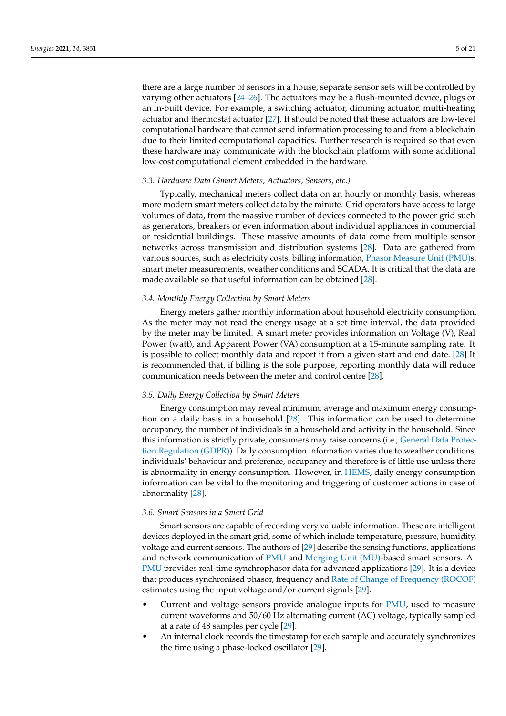there are a large number of sensors in a house, separate sensor sets will be controlled by varying other actuators [\[24](#page-18-19)[–26\]](#page-18-20). The actuators may be a flush-mounted device, plugs or an in-built device. For example, a switching actuator, dimming actuator, multi-heating actuator and thermostat actuator [\[27\]](#page-18-21). It should be noted that these actuators are low-level computational hardware that cannot send information processing to and from a blockchain due to their limited computational capacities. Further research is required so that even these hardware may communicate with the blockchain platform with some additional low-cost computational element embedded in the hardware.

## *3.3. Hardware Data (Smart Meters, Actuators, Sensors, etc.)*

Typically, mechanical meters collect data on an hourly or monthly basis, whereas more modern smart meters collect data by the minute. Grid operators have access to large volumes of data, from the massive number of devices connected to the power grid such as generators, breakers or even information about individual appliances in commercial or residential buildings. These massive amounts of data come from multiple sensor networks across transmission and distribution systems [\[28\]](#page-18-22). Data are gathered from various sources, such as electricity costs, billing information, [Phasor Measure Unit \(PMU\)s](#page-0-0), smart meter measurements, weather conditions and SCADA. It is critical that the data are made available so that useful information can be obtained [\[28\]](#page-18-22).

## *3.4. Monthly Energy Collection by Smart Meters*

Energy meters gather monthly information about household electricity consumption. As the meter may not read the energy usage at a set time interval, the data provided by the meter may be limited. A smart meter provides information on Voltage (V), Real Power (watt), and Apparent Power (VA) consumption at a 15-minute sampling rate. It is possible to collect monthly data and report it from a given start and end date. [\[28\]](#page-18-22) It is recommended that, if billing is the sole purpose, reporting monthly data will reduce communication needs between the meter and control centre [\[28\]](#page-18-22).

#### *3.5. Daily Energy Collection by Smart Meters*

Energy consumption may reveal minimum, average and maximum energy consumption on a daily basis in a household [\[28\]](#page-18-22). This information can be used to determine occupancy, the number of individuals in a household and activity in the household. Since this information is strictly private, consumers may raise concerns (i.e., [General Data Protec](#page-0-0)[tion Regulation \(GDPR\)\)](#page-0-0). Daily consumption information varies due to weather conditions, individuals' behaviour and preference, occupancy and therefore is of little use unless there is abnormality in energy consumption. However, in [HEMS,](#page-0-0) daily energy consumption information can be vital to the monitoring and triggering of customer actions in case of abnormality [\[28\]](#page-18-22).

#### *3.6. Smart Sensors in a Smart Grid*

Smart sensors are capable of recording very valuable information. These are intelligent devices deployed in the smart grid, some of which include temperature, pressure, humidity, voltage and current sensors. The authors of [\[29\]](#page-18-23) describe the sensing functions, applications and network communication of [PMU](#page-0-0) and [Merging Unit \(MU\)-](#page-0-0)based smart sensors. A [PMU](#page-0-0) provides real-time synchrophasor data for advanced applications [\[29\]](#page-18-23). It is a device that produces synchronised phasor, frequency and [Rate of Change of Frequency \(ROCOF\)](#page-0-0) estimates using the input voltage and/or current signals [\[29\]](#page-18-23).

- Current and voltage sensors provide analogue inputs for [PMU,](#page-0-0) used to measure current waveforms and 50/60 Hz alternating current (AC) voltage, typically sampled at a rate of 48 samples per cycle [\[29\]](#page-18-23).
- An internal clock records the timestamp for each sample and accurately synchronizes the time using a phase-locked oscillator [\[29\]](#page-18-23).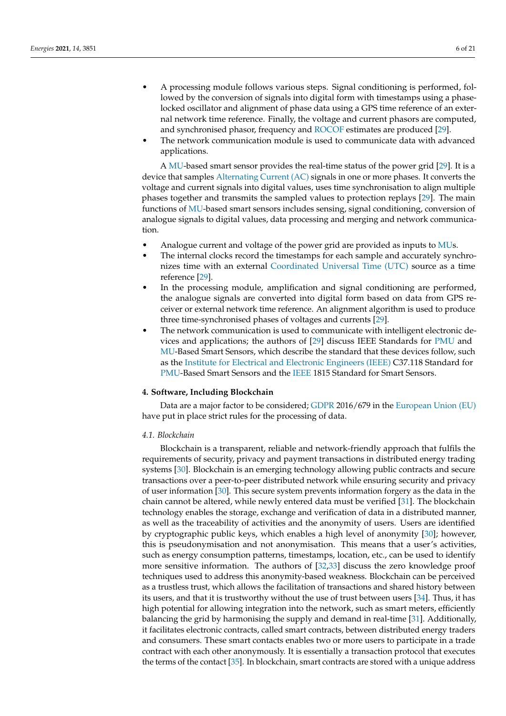- A processing module follows various steps. Signal conditioning is performed, followed by the conversion of signals into digital form with timestamps using a phaselocked oscillator and alignment of phase data using a GPS time reference of an external network time reference. Finally, the voltage and current phasors are computed, and synchronised phasor, frequency and [ROCOF](#page-0-0) estimates are produced [\[29\]](#page-18-23).
- The network communication module is used to communicate data with advanced applications.

A [MU-](#page-0-0)based smart sensor provides the real-time status of the power grid [\[29\]](#page-18-23). It is a device that samples [Alternating Current \(AC\)](#page-0-0) signals in one or more phases. It converts the voltage and current signals into digital values, uses time synchronisation to align multiple phases together and transmits the sampled values to protection replays [\[29\]](#page-18-23). The main functions of [MU-](#page-0-0)based smart sensors includes sensing, signal conditioning, conversion of analogue signals to digital values, data processing and merging and network communication.

- Analogue current and voltage of the power grid are provided as inputs to [MUs](#page-0-0).
- The internal clocks record the timestamps for each sample and accurately synchronizes time with an external [Coordinated Universal Time \(UTC\)](#page-0-0) source as a time reference [\[29\]](#page-18-23).
- In the processing module, amplification and signal conditioning are performed, the analogue signals are converted into digital form based on data from GPS receiver or external network time reference. An alignment algorithm is used to produce three time-synchronised phases of voltages and currents [\[29\]](#page-18-23).
- The network communication is used to communicate with intelligent electronic devices and applications; the authors of [\[29\]](#page-18-23) discuss IEEE Standards for [PMU](#page-0-0) and [MU-](#page-0-0)Based Smart Sensors, which describe the standard that these devices follow, such as the [Institute for Electrical and Electronic Engineers \(IEEE\)](#page-0-0) C37.118 Standard for [PMU-](#page-0-0)Based Smart Sensors and the [IEEE](#page-0-0) 1815 Standard for Smart Sensors.

## <span id="page-5-0"></span>**4. Software, Including Blockchain**

Data are a major factor to be considered; [GDPR](#page-0-0) 2016/679 in the [European Union \(EU\)](#page-0-0) have put in place strict rules for the processing of data.

## *4.1. Blockchain*

Blockchain is a transparent, reliable and network-friendly approach that fulfils the requirements of security, privacy and payment transactions in distributed energy trading systems [\[30\]](#page-18-24). Blockchain is an emerging technology allowing public contracts and secure transactions over a peer-to-peer distributed network while ensuring security and privacy of user information [\[30\]](#page-18-24). This secure system prevents information forgery as the data in the chain cannot be altered, while newly entered data must be verified [\[31\]](#page-19-0). The blockchain technology enables the storage, exchange and verification of data in a distributed manner, as well as the traceability of activities and the anonymity of users. Users are identified by cryptographic public keys, which enables a high level of anonymity [\[30\]](#page-18-24); however, this is pseudonymisation and not anonymisation. This means that a user's activities, such as energy consumption patterns, timestamps, location, etc., can be used to identify more sensitive information. The authors of [\[32](#page-19-1)[,33\]](#page-19-2) discuss the zero knowledge proof techniques used to address this anonymity-based weakness. Blockchain can be perceived as a trustless trust, which allows the facilitation of transactions and shared history between its users, and that it is trustworthy without the use of trust between users [\[34\]](#page-19-3). Thus, it has high potential for allowing integration into the network, such as smart meters, efficiently balancing the grid by harmonising the supply and demand in real-time [\[31\]](#page-19-0). Additionally, it facilitates electronic contracts, called smart contracts, between distributed energy traders and consumers. These smart contacts enables two or more users to participate in a trade contract with each other anonymously. It is essentially a transaction protocol that executes the terms of the contact [\[35\]](#page-19-4). In blockchain, smart contracts are stored with a unique address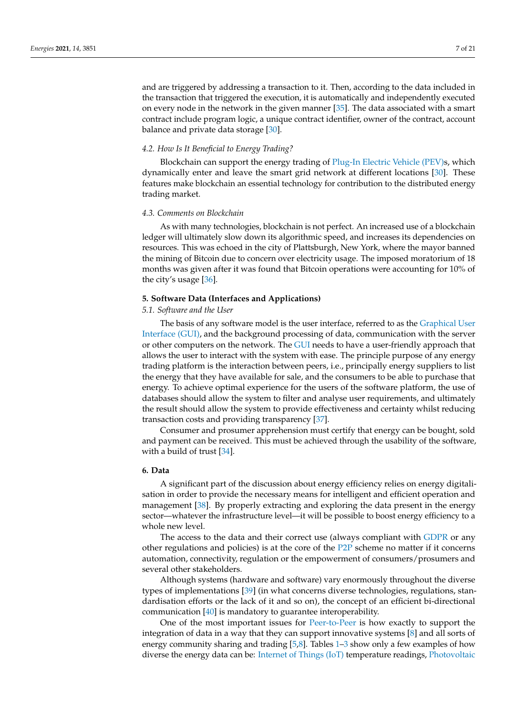and are triggered by addressing a transaction to it. Then, according to the data included in the transaction that triggered the execution, it is automatically and independently executed on every node in the network in the given manner [\[35\]](#page-19-4). The data associated with a smart contract include program logic, a unique contract identifier, owner of the contract, account balance and private data storage [\[30\]](#page-18-24).

## *4.2. How Is It Beneficial to Energy Trading?*

Blockchain can support the energy trading of [Plug-In Electric Vehicle \(PEV\)s](#page-0-0), which dynamically enter and leave the smart grid network at different locations [\[30\]](#page-18-24). These features make blockchain an essential technology for contribution to the distributed energy trading market.

#### *4.3. Comments on Blockchain*

As with many technologies, blockchain is not perfect. An increased use of a blockchain ledger will ultimately slow down its algorithmic speed, and increases its dependencies on resources. This was echoed in the city of Plattsburgh, New York, where the mayor banned the mining of Bitcoin due to concern over electricity usage. The imposed moratorium of 18 months was given after it was found that Bitcoin operations were accounting for 10% of the city's usage [\[36\]](#page-19-5).

#### <span id="page-6-0"></span>**5. Software Data (Interfaces and Applications)**

*5.1. Software and the User*

The basis of any software model is the user interface, referred to as the [Graphical User](#page-0-0) [Interface \(GUI\),](#page-0-0) and the background processing of data, communication with the server or other computers on the network. The [GUI](#page-0-0) needs to have a user-friendly approach that allows the user to interact with the system with ease. The principle purpose of any energy trading platform is the interaction between peers, i.e., principally energy suppliers to list the energy that they have available for sale, and the consumers to be able to purchase that energy. To achieve optimal experience for the users of the software platform, the use of databases should allow the system to filter and analyse user requirements, and ultimately the result should allow the system to provide effectiveness and certainty whilst reducing transaction costs and providing transparency [\[37\]](#page-19-6).

Consumer and prosumer apprehension must certify that energy can be bought, sold and payment can be received. This must be achieved through the usability of the software, with a build of trust [\[34\]](#page-19-3).

## <span id="page-6-1"></span>**6. Data**

A significant part of the discussion about energy efficiency relies on energy digitalisation in order to provide the necessary means for intelligent and efficient operation and management [\[38\]](#page-19-7). By properly extracting and exploring the data present in the energy sector—whatever the infrastructure level—it will be possible to boost energy efficiency to a whole new level.

The access to the data and their correct use (always compliant with [GDPR](#page-0-0) or any other regulations and policies) is at the core of the [P2P](#page-0-0) scheme no matter if it concerns automation, connectivity, regulation or the empowerment of consumers/prosumers and several other stakeholders.

Although systems (hardware and software) vary enormously throughout the diverse types of implementations [\[39\]](#page-19-8) (in what concerns diverse technologies, regulations, standardisation efforts or the lack of it and so on), the concept of an efficient bi-directional communication [\[40\]](#page-19-9) is mandatory to guarantee interoperability.

One of the most important issues for [Peer-to-Peer](#page-0-0) is how exactly to support the integration of data in a way that they can support innovative systems [\[8\]](#page-18-7) and all sorts of energy community sharing and trading [\[5,](#page-18-4)[8\]](#page-18-7). Tables [1–](#page-8-1)[3](#page-8-2) show only a few examples of how diverse the energy data can be: [Internet of Things \(IoT\)](#page-0-0) temperature readings, [Photovoltaic](#page-0-0)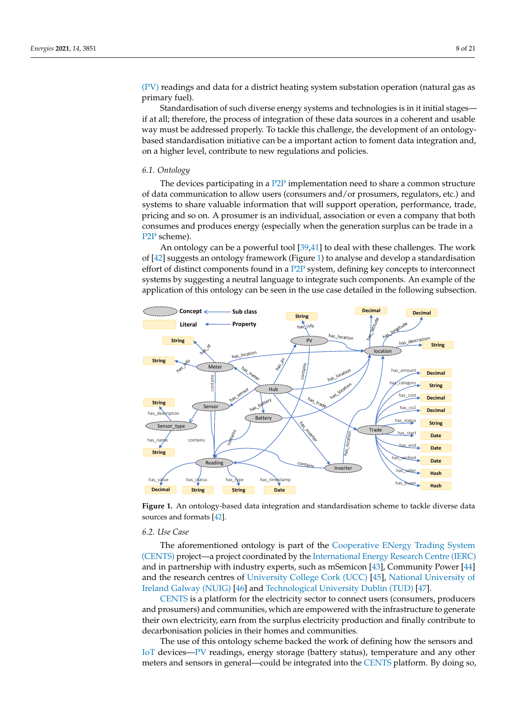[\(PV\)](#page-0-0) readings and data for a district heating system substation operation (natural gas as primary fuel).

Standardisation of such diverse energy systems and technologies is in it initial stages if at all; therefore, the process of integration of these data sources in a coherent and usable way must be addressed properly. To tackle this challenge, the development of an ontologybased standardisation initiative can be a important action to foment data integration and, on a higher level, contribute to new regulations and policies.

## *6.1. Ontology*

The devices participating in a [P2P](#page-0-0) implementation need to share a common structure of data communication to allow users (consumers and/or prosumers, regulators, etc.) and systems to share valuable information that will support operation, performance, trade, pricing and so on. A prosumer is an individual, association or even a company that both consumes and produces energy (especially when the generation surplus can be trade in a [P2P](#page-0-0) scheme).

An ontology can be a powerful tool [\[39](#page-19-8)[,41\]](#page-19-10) to deal with these challenges. The work of [\[42\]](#page-19-11) suggests an ontology framework (Figure [1\)](#page-7-0) to analyse and develop a standardisation effort of distinct components found in a [P2P](#page-0-0) system, defining key concepts to interconnect systems by suggesting a neutral language to integrate such components. An example of the application of this ontology can be seen in the use case detailed in the following subsection.

<span id="page-7-0"></span>

**Figure 1.** An ontology-based data integration and standardisation scheme to tackle diverse data sources and formats [\[42\]](#page-19-11).

## *6.2. Use Case*

The aforementioned ontology is part of the [Cooperative ENergy Trading System](#page-0-0) [\(CENTS\)](#page-0-0) project—a project coordinated by the [International Energy Research Centre \(IERC\)](#page-0-0) and in partnership with industry experts, such as mSemicon [\[43\]](#page-19-12), Community Power [\[44\]](#page-19-13) and the research centres of [University College Cork \(UCC\)](#page-0-0) [\[45\]](#page-19-14), [National University of](#page-0-0) [Ireland Galway \(NUIG\)](#page-0-0) [\[46\]](#page-19-15) and [Technological University Dublin \(TUD\)](#page-0-0) [\[47\]](#page-19-16).

[CENTS](#page-0-0) is a platform for the electricity sector to connect users (consumers, producers and prosumers) and communities, which are empowered with the infrastructure to generate their own electricity, earn from the surplus electricity production and finally contribute to decarbonisation policies in their homes and communities.

The use of this ontology scheme backed the work of defining how the sensors and [IoT](#page-0-0) devices[—PV](#page-0-0) readings, energy storage (battery status), temperature and any other meters and sensors in general—could be integrated into the [CENTS](#page-0-0) platform. By doing so,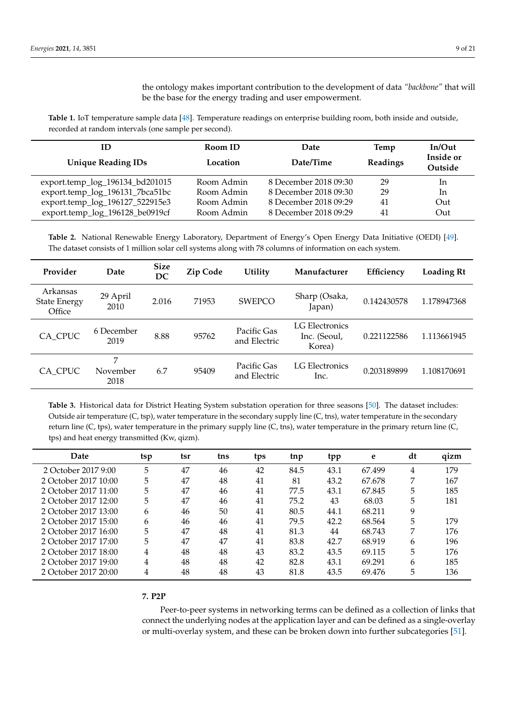the ontology makes important contribution to the development of data *"backbone"* that will be the base for the energy trading and user empowerment.

<span id="page-8-1"></span>**Table 1.** IoT temperature sample data [\[48\]](#page-19-17). Temperature readings on enterprise building room, both inside and outside, recorded at random intervals (one sample per second).

| ID<br><b>Unique Reading IDs</b> | Room ID<br>Location | Date<br>Date/Time     | Temp<br>Readings | $In/O$ ut<br>Inside or<br>Outside |
|---------------------------------|---------------------|-----------------------|------------------|-----------------------------------|
| export.temp_log_196134_bd201015 | Room Admin          | 8 December 2018 09:30 | 29               | In.                               |
| export.temp_log_196131_7bca51bc | Room Admin          | 8 December 2018 09:30 | 29               | In                                |
| export.temp_log_196127_522915e3 | Room Admin          | 8 December 2018 09:29 | 41               | Out                               |
| export.temp_log_196128_be0919cf | Room Admin          | 8 December 2018 09:29 | 41               | Out                               |

**Table 2.** National Renewable Energy Laboratory, Department of Energy's Open Energy Data Initiative (OEDI) [\[49\]](#page-19-18). The dataset consists of 1 million solar cell systems along with 78 columns of information on each system.

| Provider                                  | Date                  | <b>Size</b><br>DC | Zip Code | <b>Utility</b>              | Manufacturer                             | Efficiency  | Loading Rt  |
|-------------------------------------------|-----------------------|-------------------|----------|-----------------------------|------------------------------------------|-------------|-------------|
| Arkansas<br><b>State Energy</b><br>Office | 29 April<br>2010      | 2.016             | 71953    | <b>SWEPCO</b>               | Sharp (Osaka,<br>Japan)                  | 0.142430578 | 1.178947368 |
| CA CPUC                                   | 6 December<br>2019    | 8.88              | 95762    | Pacific Gas<br>and Electric | LG Electronics<br>Inc. (Seoul,<br>Korea) | 0.221122586 | 1.113661945 |
| CA CPUC                                   | 7<br>November<br>2018 | 6.7               | 95409    | Pacific Gas<br>and Electric | LG Electronics<br>Inc.                   | 0.203189899 | 1.108170691 |

<span id="page-8-2"></span>**Table 3.** Historical data for District Heating System substation operation for three seasons [\[50\]](#page-19-19). The dataset includes: Outside air temperature (C, tsp), water temperature in the secondary supply line (C, tns), water temperature in the secondary return line (C, tps), water temperature in the primary supply line (C, tns), water temperature in the primary return line (C, tps) and heat energy transmitted (Kw, qizm).

| Date                 | tsp | tsr | tns | tps | tnp  | tpp  | e      | dt | qizm |
|----------------------|-----|-----|-----|-----|------|------|--------|----|------|
| 2 October 2017 9:00  | 5   | 47  | 46  | 42  | 84.5 | 43.1 | 67.499 | 4  | 179  |
| 2 October 2017 10:00 | 5   | 47  | 48  | 41  | 81   | 43.2 | 67.678 | 7  | 167  |
| 2 October 2017 11:00 | 5   | 47  | 46  | 41  | 77.5 | 43.1 | 67.845 | 5  | 185  |
| 2 October 2017 12:00 | 5   | 47  | 46  | 41  | 75.2 | 43   | 68.03  | 5  | 181  |
| 2 October 2017 13:00 | 6   | 46  | 50  | 41  | 80.5 | 44.1 | 68.211 | 9  |      |
| 2 October 2017 15:00 | 6   | 46  | 46  | 41  | 79.5 | 42.2 | 68.564 | 5  | 179  |
| 2 October 2017 16:00 | 5   | 47  | 48  | 41  | 81.3 | 44   | 68.743 | 7  | 176  |
| 2 October 2017 17:00 | 5   | 47  | 47  | 41  | 83.8 | 42.7 | 68.919 | 6  | 196  |
| 2 October 2017 18:00 | 4   | 48  | 48  | 43  | 83.2 | 43.5 | 69.115 | 5  | 176  |
| 2 October 2017 19:00 | 4   | 48  | 48  | 42  | 82.8 | 43.1 | 69.291 | 6  | 185  |
| 2 October 2017 20:00 | 4   | 48  | 48  | 43  | 81.8 | 43.5 | 69.476 | 5  | 136  |

### <span id="page-8-0"></span>**7. P2P**

Peer-to-peer systems in networking terms can be defined as a collection of links that connect the underlying nodes at the application layer and can be defined as a single-overlay or multi-overlay system, and these can be broken down into further subcategories [\[51\]](#page-19-20).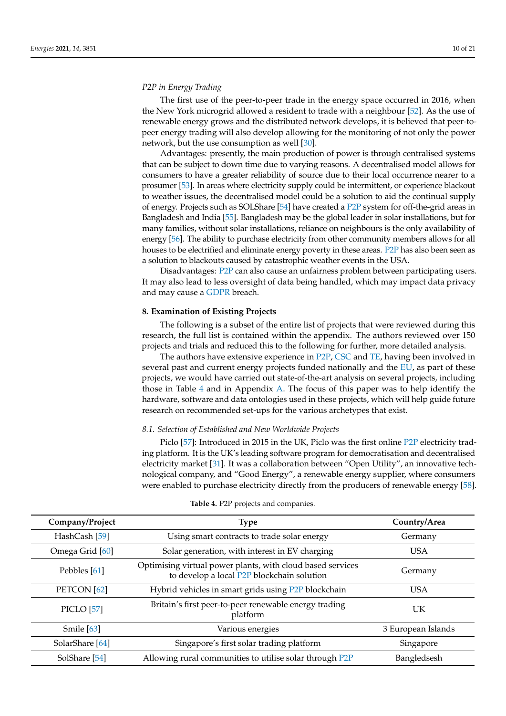## *P2P in Energy Trading*

The first use of the peer-to-peer trade in the energy space occurred in 2016, when the New York microgrid allowed a resident to trade with a neighbour [\[52\]](#page-19-21). As the use of renewable energy grows and the distributed network develops, it is believed that peer-topeer energy trading will also develop allowing for the monitoring of not only the power network, but the use consumption as well [\[30\]](#page-18-24).

Advantages: presently, the main production of power is through centralised systems that can be subject to down time due to varying reasons. A decentralised model allows for consumers to have a greater reliability of source due to their local occurrence nearer to a prosumer [\[53\]](#page-19-22). In areas where electricity supply could be intermittent, or experience blackout to weather issues, the decentralised model could be a solution to aid the continual supply of energy. Projects such as SOLShare [\[54\]](#page-19-23) have created a [P2P](#page-0-0) system for off-the-grid areas in Bangladesh and India [\[55\]](#page-19-24). Bangladesh may be the global leader in solar installations, but for many families, without solar installations, reliance on neighbours is the only availability of energy [\[56\]](#page-19-25). The ability to purchase electricity from other community members allows for all houses to be electrified and eliminate energy poverty in these areas. [P2P](#page-0-0) has also been seen as a solution to blackouts caused by catastrophic weather events in the USA.

Disadvantages: [P2P](#page-0-0) can also cause an unfairness problem between participating users. It may also lead to less oversight of data being handled, which may impact data privacy and may cause a [GDPR](#page-0-0) breach.

## <span id="page-9-0"></span>**8. Examination of Existing Projects**

The following is a subset of the entire list of projects that were reviewed during this research, the full list is contained within the appendix. The authors reviewed over 150 projects and trials and reduced this to the following for further, more detailed analysis.

The authors have extensive experience in [P2P,](#page-0-0) [CSC](#page-0-0) and [TE,](#page-0-0) having been involved in several past and current energy projects funded nationally and the [EU,](#page-0-0) as part of these projects, we would have carried out state-of-the-art analysis on several projects, including those in Table [4](#page-9-1) and in Appendix [A.](#page-13-0) The focus of this paper was to help identify the hardware, software and data ontologies used in these projects, which will help guide future research on recommended set-ups for the various archetypes that exist.

## *8.1. Selection of Established and New Worldwide Projects*

Piclo [\[57\]](#page-19-26): Introduced in 2015 in the UK, Piclo was the first online [P2P](#page-0-0) electricity trading platform. It is the UK's leading software program for democratisation and decentralised electricity market [\[31\]](#page-19-0). It was a collaboration between "Open Utility", an innovative technological company, and "Good Energy", a renewable energy supplier, where consumers were enabled to purchase electricity directly from the producers of renewable energy [\[58\]](#page-19-27).

<span id="page-9-1"></span>

| Company/Project        | <b>Type</b>                                                                                              | Country/Area       |
|------------------------|----------------------------------------------------------------------------------------------------------|--------------------|
| HashCash [59]          | Using smart contracts to trade solar energy                                                              | Germany            |
| Omega Grid [60]        | Solar generation, with interest in EV charging                                                           | <b>USA</b>         |
| Pebbles [61]           | Optimising virtual power plants, with cloud based services<br>to develop a local P2P blockchain solution | Germany            |
| PETCON <sup>[62]</sup> | Hybrid vehicles in smart grids using P2P blockchain                                                      | <b>USA</b>         |
| <b>PICLO</b> [57]      | Britain's first peer-to-peer renewable energy trading<br>platform                                        | UK                 |
| Smile $[63]$           | Various energies                                                                                         | 3 European Islands |
| SolarShare [64]        | Singapore's first solar trading platform                                                                 | Singapore          |
| SolShare [54]          | Allowing rural communities to utilise solar through P2P                                                  | Bangledsesh        |

#### **Table 4.** P2P projects and companies.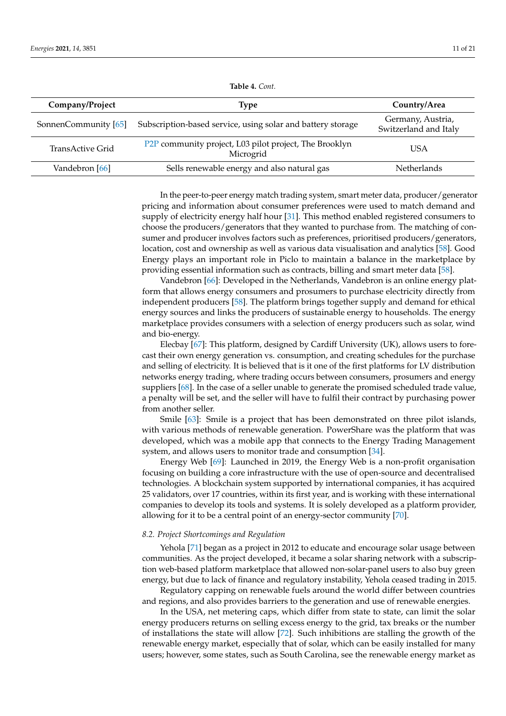| Company/Project        | Type                                                                | Country/Area                               |
|------------------------|---------------------------------------------------------------------|--------------------------------------------|
| SonnenCommunity $[65]$ | Subscription-based service, using solar and battery storage         | Germany, Austria,<br>Switzerland and Italy |
| TransActive Grid       | P2P community project, L03 pilot project, The Brooklyn<br>Microgrid | USA                                        |
| Vandebron [66]         | Sells renewable energy and also natural gas                         | <b>Netherlands</b>                         |

**Table 4.** *Cont.*

In the peer-to-peer energy match trading system, smart meter data, producer/generator pricing and information about consumer preferences were used to match demand and supply of electricity energy half hour [\[31\]](#page-19-0). This method enabled registered consumers to choose the producers/generators that they wanted to purchase from. The matching of consumer and producer involves factors such as preferences, prioritised producers/generators, location, cost and ownership as well as various data visualisation and analytics [\[58\]](#page-19-27). Good Energy plays an important role in Piclo to maintain a balance in the marketplace by providing essential information such as contracts, billing and smart meter data [\[58\]](#page-19-27).

Vandebron [\[66\]](#page-20-3): Developed in the Netherlands, Vandebron is an online energy platform that allows energy consumers and prosumers to purchase electricity directly from independent producers [\[58\]](#page-19-27). The platform brings together supply and demand for ethical energy sources and links the producers of sustainable energy to households. The energy marketplace provides consumers with a selection of energy producers such as solar, wind and bio-energy.

Elecbay [\[67\]](#page-20-4): This platform, designed by Cardiff University (UK), allows users to forecast their own energy generation vs. consumption, and creating schedules for the purchase and selling of electricity. It is believed that is it one of the first platforms for LV distribution networks energy trading, where trading occurs between consumers, prosumers and energy suppliers [\[68\]](#page-20-5). In the case of a seller unable to generate the promised scheduled trade value, a penalty will be set, and the seller will have to fulfil their contract by purchasing power from another seller.

Smile [\[63\]](#page-20-0): Smile is a project that has been demonstrated on three pilot islands, with various methods of renewable generation. PowerShare was the platform that was developed, which was a mobile app that connects to the Energy Trading Management system, and allows users to monitor trade and consumption [\[34\]](#page-19-3).

Energy Web [\[69\]](#page-20-6): Launched in 2019, the Energy Web is a non-profit organisation focusing on building a core infrastructure with the use of open-source and decentralised technologies. A blockchain system supported by international companies, it has acquired 25 validators, over 17 countries, within its first year, and is working with these international companies to develop its tools and systems. It is solely developed as a platform provider, allowing for it to be a central point of an energy-sector community [\[70\]](#page-20-7).

## *8.2. Project Shortcomings and Regulation*

Yehola [\[71\]](#page-20-8) began as a project in 2012 to educate and encourage solar usage between communities. As the project developed, it became a solar sharing network with a subscription web-based platform marketplace that allowed non-solar-panel users to also buy green energy, but due to lack of finance and regulatory instability, Yehola ceased trading in 2015.

Regulatory capping on renewable fuels around the world differ between countries and regions, and also provides barriers to the generation and use of renewable energies.

In the USA, net metering caps, which differ from state to state, can limit the solar energy producers returns on selling excess energy to the grid, tax breaks or the number of installations the state will allow [\[72\]](#page-20-9). Such inhibitions are stalling the growth of the renewable energy market, especially that of solar, which can be easily installed for many users; however, some states, such as South Carolina, see the renewable energy market as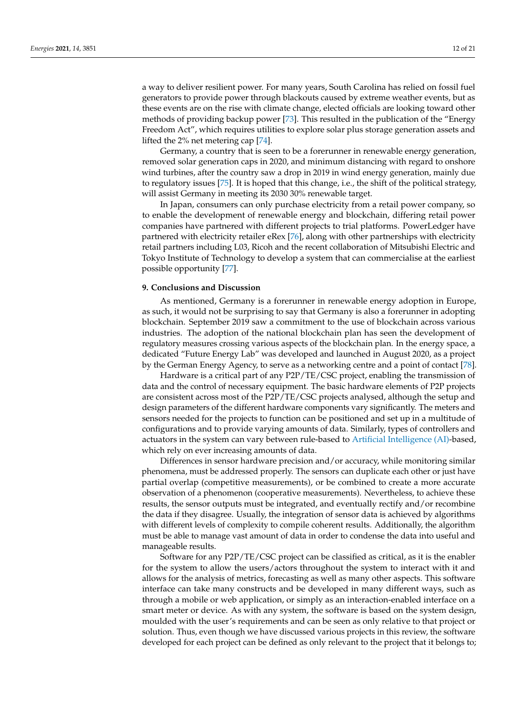a way to deliver resilient power. For many years, South Carolina has relied on fossil fuel generators to provide power through blackouts caused by extreme weather events, but as these events are on the rise with climate change, elected officials are looking toward other methods of providing backup power [\[73\]](#page-20-10). This resulted in the publication of the "Energy Freedom Act", which requires utilities to explore solar plus storage generation assets and lifted the 2% net metering cap [\[74\]](#page-20-11).

Germany, a country that is seen to be a forerunner in renewable energy generation, removed solar generation caps in 2020, and minimum distancing with regard to onshore wind turbines, after the country saw a drop in 2019 in wind energy generation, mainly due to regulatory issues [\[75\]](#page-20-12). It is hoped that this change, i.e., the shift of the political strategy, will assist Germany in meeting its 2030 30% renewable target.

In Japan, consumers can only purchase electricity from a retail power company, so to enable the development of renewable energy and blockchain, differing retail power companies have partnered with different projects to trial platforms. PowerLedger have partnered with electricity retailer eRex [\[76\]](#page-20-13), along with other partnerships with electricity retail partners including L03, Ricoh and the recent collaboration of Mitsubishi Electric and Tokyo Institute of Technology to develop a system that can commercialise at the earliest possible opportunity [\[77\]](#page-20-14).

#### <span id="page-11-0"></span>**9. Conclusions and Discussion**

As mentioned, Germany is a forerunner in renewable energy adoption in Europe, as such, it would not be surprising to say that Germany is also a forerunner in adopting blockchain. September 2019 saw a commitment to the use of blockchain across various industries. The adoption of the national blockchain plan has seen the development of regulatory measures crossing various aspects of the blockchain plan. In the energy space, a dedicated "Future Energy Lab" was developed and launched in August 2020, as a project by the German Energy Agency, to serve as a networking centre and a point of contact [\[78\]](#page-20-15).

Hardware is a critical part of any P2P/TE/CSC project, enabling the transmission of data and the control of necessary equipment. The basic hardware elements of P2P projects are consistent across most of the P2P/TE/CSC projects analysed, although the setup and design parameters of the different hardware components vary significantly. The meters and sensors needed for the projects to function can be positioned and set up in a multitude of configurations and to provide varying amounts of data. Similarly, types of controllers and actuators in the system can vary between rule-based to [Artificial Intelligence \(AI\)-](#page-0-0)based, which rely on ever increasing amounts of data.

Differences in sensor hardware precision and/or accuracy, while monitoring similar phenomena, must be addressed properly. The sensors can duplicate each other or just have partial overlap (competitive measurements), or be combined to create a more accurate observation of a phenomenon (cooperative measurements). Nevertheless, to achieve these results, the sensor outputs must be integrated, and eventually rectify and/or recombine the data if they disagree. Usually, the integration of sensor data is achieved by algorithms with different levels of complexity to compile coherent results. Additionally, the algorithm must be able to manage vast amount of data in order to condense the data into useful and manageable results.

Software for any P2P/TE/CSC project can be classified as critical, as it is the enabler for the system to allow the users/actors throughout the system to interact with it and allows for the analysis of metrics, forecasting as well as many other aspects. This software interface can take many constructs and be developed in many different ways, such as through a mobile or web application, or simply as an interaction-enabled interface on a smart meter or device. As with any system, the software is based on the system design, moulded with the user's requirements and can be seen as only relative to that project or solution. Thus, even though we have discussed various projects in this review, the software developed for each project can be defined as only relevant to the project that it belongs to;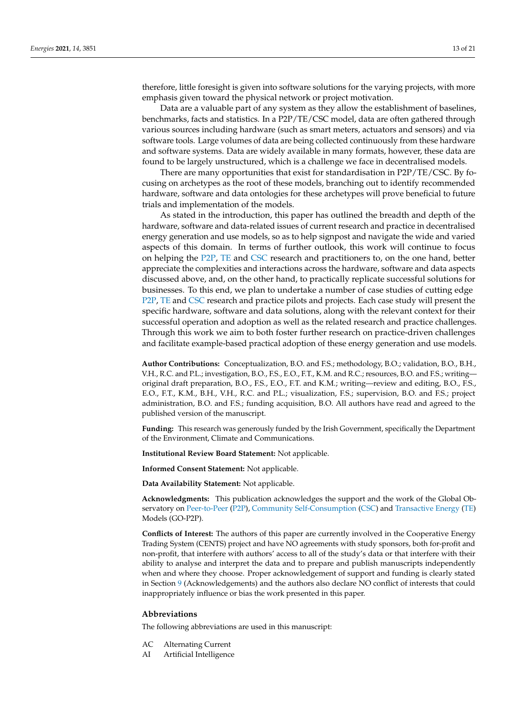therefore, little foresight is given into software solutions for the varying projects, with more emphasis given toward the physical network or project motivation.

Data are a valuable part of any system as they allow the establishment of baselines, benchmarks, facts and statistics. In a P2P/TE/CSC model, data are often gathered through various sources including hardware (such as smart meters, actuators and sensors) and via software tools. Large volumes of data are being collected continuously from these hardware and software systems. Data are widely available in many formats, however, these data are found to be largely unstructured, which is a challenge we face in decentralised models.

There are many opportunities that exist for standardisation in P2P/TE/CSC. By focusing on archetypes as the root of these models, branching out to identify recommended hardware, software and data ontologies for these archetypes will prove beneficial to future trials and implementation of the models.

As stated in the introduction, this paper has outlined the breadth and depth of the hardware, software and data-related issues of current research and practice in decentralised energy generation and use models, so as to help signpost and navigate the wide and varied aspects of this domain. In terms of further outlook, this work will continue to focus on helping the [P2P,](#page-0-0) [TE](#page-0-0) and [CSC](#page-0-0) research and practitioners to, on the one hand, better appreciate the complexities and interactions across the hardware, software and data aspects discussed above, and, on the other hand, to practically replicate successful solutions for businesses. To this end, we plan to undertake a number of case studies of cutting edge [P2P,](#page-0-0) [TE](#page-0-0) and [CSC](#page-0-0) research and practice pilots and projects. Each case study will present the specific hardware, software and data solutions, along with the relevant context for their successful operation and adoption as well as the related research and practice challenges. Through this work we aim to both foster further research on practice-driven challenges and facilitate example-based practical adoption of these energy generation and use models.

**Author Contributions:** Conceptualization, B.O. and F.S.; methodology, B.O.; validation, B.O., B.H., V.H., R.C. and P.L.; investigation, B.O., F.S., E.O., F.T., K.M. and R.C.; resources, B.O. and F.S.; writing original draft preparation, B.O., F.S., E.O., F.T. and K.M.; writing—review and editing, B.O., F.S., E.O., F.T., K.M., B.H., V.H., R.C. and P.L.; visualization, F.S.; supervision, B.O. and F.S.; project administration, B.O. and F.S.; funding acquisition, B.O. All authors have read and agreed to the published version of the manuscript.

**Funding:** This research was generously funded by the Irish Government, specifically the Department of the Environment, Climate and Communications.

**Institutional Review Board Statement:** Not applicable.

**Informed Consent Statement:** Not applicable.

**Data Availability Statement:** Not applicable.

**Acknowledgments:** This publication acknowledges the support and the work of the Global Ob-servatory on [Peer-to-Peer](#page-0-0) [\(P2P\)](#page-0-0), [Community Self-Consumption](#page-0-0) [\(CSC\)](#page-0-0) and [Transactive Energy](#page-0-0) [\(TE\)](#page-0-0) Models (GO-P2P).

**Conflicts of Interest:** The authors of this paper are currently involved in the Cooperative Energy Trading System (CENTS) project and have NO agreements with study sponsors, both for-profit and non-profit, that interfere with authors' access to all of the study's data or that interfere with their ability to analyse and interpret the data and to prepare and publish manuscripts independently when and where they choose. Proper acknowledgement of support and funding is clearly stated in Section [9](#page-11-0) (Acknowledgements) and the authors also declare NO conflict of interests that could inappropriately influence or bias the work presented in this paper.

## **Abbreviations**

The following abbreviations are used in this manuscript:

- AC Alternating Current
- AI Artificial Intelligence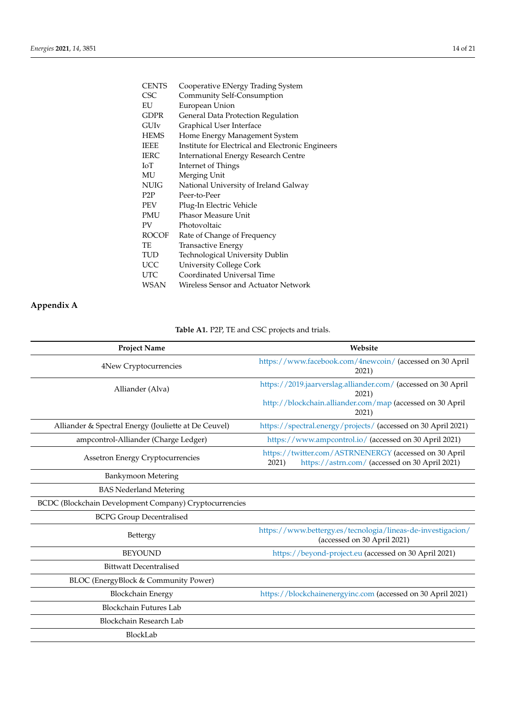| <b>CENTS</b> | Cooperative ENergy Trading System                 |
|--------------|---------------------------------------------------|
| CSC          | Community Self-Consumption                        |
| EU           | European Union                                    |
| <b>GDPR</b>  | General Data Protection Regulation                |
| GUIv         | Graphical User Interface                          |
| HEMS         | Home Energy Management System                     |
| <b>IEEE</b>  | Institute for Electrical and Electronic Engineers |
| <b>IERC</b>  | <b>International Energy Research Centre</b>       |
| ЮT           | Internet of Things                                |
| MU           | Merging Unit                                      |
| NUIG         | National University of Ireland Galway             |
| P2P          | Peer-to-Peer                                      |
| PEV          | Plug-In Electric Vehicle                          |
| PMU          | <b>Phasor Measure Unit</b>                        |
| PV           | Photovoltaic                                      |
| <b>ROCOF</b> | Rate of Change of Frequency                       |
| TE           | Transactive Energy                                |
| TUD          | Technological University Dublin                   |
| <b>UCC</b>   | <b>University College Cork</b>                    |
| UTC          | Coordinated Universal Time                        |
| WSAN         | Wireless Sensor and Actuator Network              |

# <span id="page-13-0"></span>**Appendix A**

**Table A1.** P2P, TE and CSC projects and trials.

| <b>Project Name</b>                                           | Website                                                                                                          |
|---------------------------------------------------------------|------------------------------------------------------------------------------------------------------------------|
| 4New Cryptocurrencies                                         | https://www.facebook.com/4newcoin/ (accessed on 30 April<br>2021)                                                |
| Alliander (Alva)                                              | https://2019.jaarverslag.alliander.com/ (accessed on 30 April<br>2021)                                           |
|                                                               | http://blockchain.alliander.com/map (accessed on 30 April<br>2021)                                               |
| Alliander & Spectral Energy (Jouliette at De Ceuvel)          | https://spectral.energy/projects/ (accessed on 30 April 2021)                                                    |
| ampcontrol-Alliander (Charge Ledger)                          | https://www.ampcontrol.io/ (accessed on 30 April 2021)                                                           |
| Assetron Energy Cryptocurrencies                              | https://twitter.com/ASTRNENERGY (accessed on 30 April<br>https://astrn.com/ (accessed on 30 April 2021)<br>2021) |
| Bankymoon Metering                                            |                                                                                                                  |
| <b>BAS Nederland Metering</b>                                 |                                                                                                                  |
| <b>BCDC</b> (Blockchain Development Company) Cryptocurrencies |                                                                                                                  |
| <b>BCPG Group Decentralised</b>                               |                                                                                                                  |
| Bettergy                                                      | https://www.bettergy.es/tecnologia/lineas-de-investigacion/<br>(accessed on 30 April 2021)                       |
| <b>BEYOUND</b>                                                | https://beyond-project.eu (accessed on 30 April 2021)                                                            |
| <b>Bittwatt Decentralised</b>                                 |                                                                                                                  |
| BLOC (EnergyBlock & Community Power)                          |                                                                                                                  |
| <b>Blockchain Energy</b>                                      | https://blockchainenergyinc.com (accessed on 30 April 2021)                                                      |
| <b>Blockchain Futures Lab</b>                                 |                                                                                                                  |
| Blockchain Research Lab                                       |                                                                                                                  |
| BlockLab                                                      |                                                                                                                  |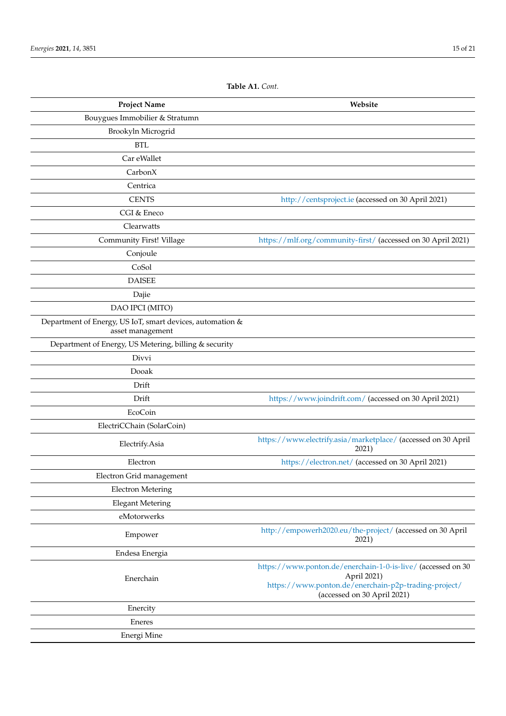| <b>Project Name</b>                                                           | Website                                                                             |
|-------------------------------------------------------------------------------|-------------------------------------------------------------------------------------|
| Bouygues Immobilier & Stratumn                                                |                                                                                     |
| Brookyln Microgrid                                                            |                                                                                     |
| <b>BTL</b>                                                                    |                                                                                     |
| Car eWallet                                                                   |                                                                                     |
| CarbonX                                                                       |                                                                                     |
| Centrica                                                                      |                                                                                     |
| <b>CENTS</b>                                                                  | http://centsproject.ie (accessed on 30 April 2021)                                  |
| CGI & Eneco                                                                   |                                                                                     |
| Clearwatts                                                                    |                                                                                     |
| Community First! Village                                                      | https://mlf.org/community-first/ (accessed on 30 April 2021)                        |
| Conjoule                                                                      |                                                                                     |
| CoSol                                                                         |                                                                                     |
| <b>DAISEE</b>                                                                 |                                                                                     |
| Dajie                                                                         |                                                                                     |
| DAO IPCI (MITO)                                                               |                                                                                     |
| Department of Energy, US IoT, smart devices, automation &<br>asset management |                                                                                     |
| Department of Energy, US Metering, billing & security                         |                                                                                     |
| Divvi                                                                         |                                                                                     |
| Dooak                                                                         |                                                                                     |
| Drift                                                                         |                                                                                     |
| Drift                                                                         | https://www.joindrift.com/ (accessed on 30 April 2021)                              |
| EcoCoin                                                                       |                                                                                     |
| ElectriCChain (SolarCoin)                                                     |                                                                                     |
| Electrify.Asia                                                                | https://www.electrify.asia/marketplace/ (accessed on 30 April<br>2021)              |
| Electron                                                                      | https://electron.net/ (accessed on 30 April 2021)                                   |
| Electron Grid management                                                      |                                                                                     |
| <b>Electron Metering</b>                                                      |                                                                                     |
| <b>Elegant Metering</b>                                                       |                                                                                     |
| eMotorwerks                                                                   |                                                                                     |
| Empower                                                                       | http://empowerh2020.eu/the-project/ (accessed on 30 April<br>2021)                  |
| Endesa Energia                                                                |                                                                                     |
| Enerchain                                                                     | https://www.ponton.de/enerchain-1-0-is-live/ (accessed on 30<br>April 2021)         |
|                                                                               | https://www.ponton.de/enerchain-p2p-trading-project/<br>(accessed on 30 April 2021) |
| Enercity                                                                      |                                                                                     |
| Eneres                                                                        |                                                                                     |
| Energi Mine                                                                   |                                                                                     |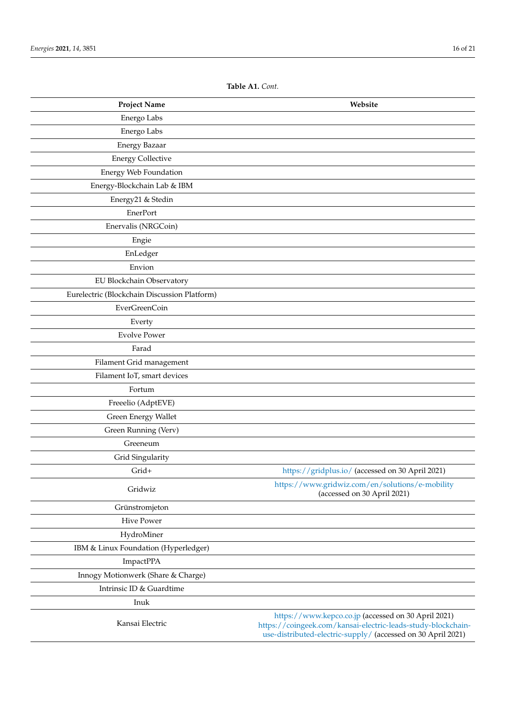| <b>Project Name</b>                          | Website                                                                                                                                                                             |
|----------------------------------------------|-------------------------------------------------------------------------------------------------------------------------------------------------------------------------------------|
| Energo Labs                                  |                                                                                                                                                                                     |
| Energo Labs                                  |                                                                                                                                                                                     |
| <b>Energy Bazaar</b>                         |                                                                                                                                                                                     |
| <b>Energy Collective</b>                     |                                                                                                                                                                                     |
| <b>Energy Web Foundation</b>                 |                                                                                                                                                                                     |
| Energy-Blockchain Lab & IBM                  |                                                                                                                                                                                     |
| Energy21 & Stedin                            |                                                                                                                                                                                     |
| EnerPort                                     |                                                                                                                                                                                     |
| Enervalis (NRGCoin)                          |                                                                                                                                                                                     |
| Engie                                        |                                                                                                                                                                                     |
| EnLedger                                     |                                                                                                                                                                                     |
| Envion                                       |                                                                                                                                                                                     |
| EU Blockchain Observatory                    |                                                                                                                                                                                     |
| Eurelectric (Blockchain Discussion Platform) |                                                                                                                                                                                     |
| EverGreenCoin                                |                                                                                                                                                                                     |
| Everty                                       |                                                                                                                                                                                     |
| <b>Evolve Power</b>                          |                                                                                                                                                                                     |
| Farad                                        |                                                                                                                                                                                     |
| Filament Grid management                     |                                                                                                                                                                                     |
| Filament IoT, smart devices                  |                                                                                                                                                                                     |
| Fortum                                       |                                                                                                                                                                                     |
| Freeelio (AdptEVE)                           |                                                                                                                                                                                     |
| Green Energy Wallet                          |                                                                                                                                                                                     |
| Green Running (Verv)                         |                                                                                                                                                                                     |
| Greeneum                                     |                                                                                                                                                                                     |
| Grid Singularity                             |                                                                                                                                                                                     |
| Grid+                                        | https://gridplus.io/ (accessed on 30 April 2021)                                                                                                                                    |
| Gridwiz                                      | https://www.gridwiz.com/en/solutions/e-mobility<br>(accessed on 30 April 2021)                                                                                                      |
| Grünstromjeton                               |                                                                                                                                                                                     |
| <b>Hive Power</b>                            |                                                                                                                                                                                     |
| HydroMiner                                   |                                                                                                                                                                                     |
| IBM & Linux Foundation (Hyperledger)         |                                                                                                                                                                                     |
| ImpactPPA                                    |                                                                                                                                                                                     |
| Innogy Motionwerk (Share & Charge)           |                                                                                                                                                                                     |
| Intrinsic ID & Guardtime                     |                                                                                                                                                                                     |
| Inuk                                         |                                                                                                                                                                                     |
| Kansai Electric                              | https://www.kepco.co.jp (accessed on 30 April 2021)<br>https://coingeek.com/kansai-electric-leads-study-blockchain-<br>use-distributed-electric-supply/ (accessed on 30 April 2021) |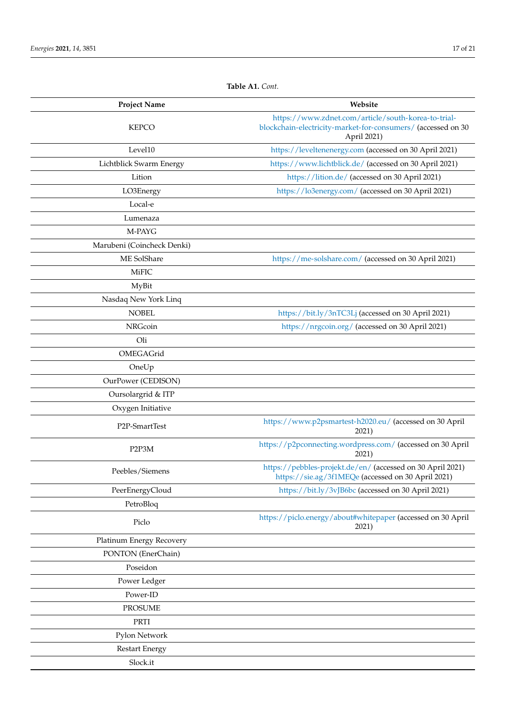| <b>Project Name</b>        | Website                                                                                                                            |
|----------------------------|------------------------------------------------------------------------------------------------------------------------------------|
| <b>KEPCO</b>               | https://www.zdnet.com/article/south-korea-to-trial-<br>blockchain-electricity-market-for-consumers/ (accessed on 30<br>April 2021) |
| Level10                    | https://leveltenenergy.com (accessed on 30 April 2021)                                                                             |
| Lichtblick Swarm Energy    | https://www.lichtblick.de/ (accessed on 30 April 2021)                                                                             |
| Lition                     | https://lition.de/ (accessed on 30 April 2021)                                                                                     |
| LO3Energy                  | https://lo3energy.com/ (accessed on 30 April 2021)                                                                                 |
| Local-e                    |                                                                                                                                    |
| Lumenaza                   |                                                                                                                                    |
| M-PAYG                     |                                                                                                                                    |
| Marubeni (Coincheck Denki) |                                                                                                                                    |
| ME SolShare                | https://me-solshare.com/ (accessed on 30 April 2021)                                                                               |
| <b>MiFIC</b>               |                                                                                                                                    |
| MyBit                      |                                                                                                                                    |
| Nasdaq New York Linq       |                                                                                                                                    |
| <b>NOBEL</b>               | https://bit.ly/3nTC3Lj (accessed on 30 April 2021)                                                                                 |
| NRGcoin                    | https://nrgcoin.org/ (accessed on 30 April 2021)                                                                                   |
| Oli                        |                                                                                                                                    |
| OMEGAGrid                  |                                                                                                                                    |
| OneUp                      |                                                                                                                                    |
| OurPower (CEDISON)         |                                                                                                                                    |
| Oursolargrid & ITP         |                                                                                                                                    |
| Oxygen Initiative          |                                                                                                                                    |
| P2P-SmartTest              | https://www.p2psmartest-h2020.eu/ (accessed on 30 April<br>2021)                                                                   |
| P2P3M                      | https://p2pconnecting.wordpress.com/ (accessed on 30 April<br>2021)                                                                |
| Peebles/Siemens            | https://pebbles-projekt.de/en/ (accessed on 30 April 2021)<br>https://sie.ag/3f1MEQe (accessed on 30 April 2021)                   |
| PeerEnergyCloud            | https://bit.ly/3vJB6bc (accessed on 30 April 2021)                                                                                 |
| PetroBloq                  |                                                                                                                                    |
| Piclo                      | https://piclo.energy/about#whitepaper (accessed on 30 April<br>2021)                                                               |
| Platinum Energy Recovery   |                                                                                                                                    |
| PONTON (EnerChain)         |                                                                                                                                    |
| Poseidon                   |                                                                                                                                    |
| Power Ledger               |                                                                                                                                    |
| Power-ID                   |                                                                                                                                    |
| <b>PROSUME</b>             |                                                                                                                                    |
| PRTI                       |                                                                                                                                    |
| Pylon Network              |                                                                                                                                    |

Restart Energy Slock.it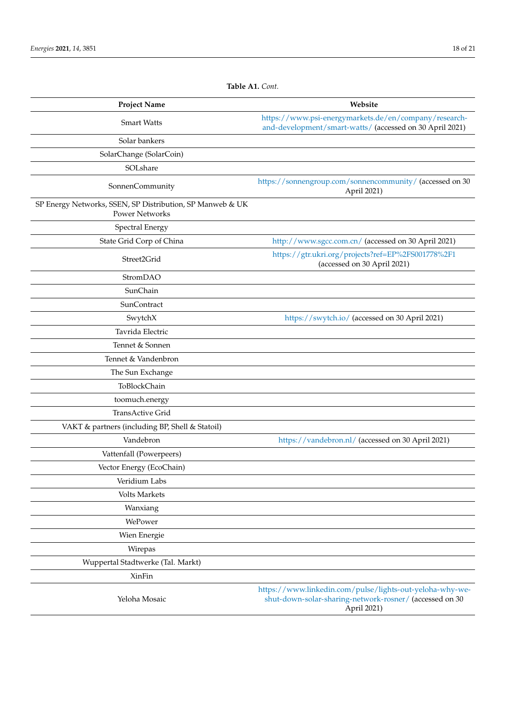| <b>Project Name</b>                                                                | Website                                                                                                                            |
|------------------------------------------------------------------------------------|------------------------------------------------------------------------------------------------------------------------------------|
| <b>Smart Watts</b>                                                                 | https://www.psi-energymarkets.de/en/company/research-<br>and-development/smart-watts/ (accessed on 30 April 2021)                  |
| Solar bankers                                                                      |                                                                                                                                    |
| SolarChange (SolarCoin)                                                            |                                                                                                                                    |
| SOLshare                                                                           |                                                                                                                                    |
| SonnenCommunity                                                                    | https://sonnengroup.com/sonnencommunity/ (accessed on 30<br>April 2021)                                                            |
| SP Energy Networks, SSEN, SP Distribution, SP Manweb & UK<br><b>Power Networks</b> |                                                                                                                                    |
| <b>Spectral Energy</b>                                                             |                                                                                                                                    |
| State Grid Corp of China                                                           | http://www.sgcc.com.cn/ (accessed on 30 April 2021)                                                                                |
| Street2Grid                                                                        | https://gtr.ukri.org/projects?ref=EP%2FS001778%2F1<br>(accessed on 30 April 2021)                                                  |
| StromDAO                                                                           |                                                                                                                                    |
| SunChain                                                                           |                                                                                                                                    |
| SunContract                                                                        |                                                                                                                                    |
| SwytchX                                                                            | https://swytch.io/ (accessed on 30 April 2021)                                                                                     |
| Tavrida Electric                                                                   |                                                                                                                                    |
| Tennet & Sonnen                                                                    |                                                                                                                                    |
| Tennet & Vandenbron                                                                |                                                                                                                                    |
| The Sun Exchange                                                                   |                                                                                                                                    |
| ToBlockChain                                                                       |                                                                                                                                    |
| toomuch.energy                                                                     |                                                                                                                                    |
| TransActive Grid                                                                   |                                                                                                                                    |
| VAKT & partners (including BP, Shell & Statoil)                                    |                                                                                                                                    |
| Vandebron                                                                          | https://vandebron.nl/ (accessed on 30 April 2021)                                                                                  |
| Vattenfall (Powerpeers)                                                            |                                                                                                                                    |
| Vector Energy (EcoChain)                                                           |                                                                                                                                    |
| Veridium Labs                                                                      |                                                                                                                                    |
| <b>Volts Markets</b>                                                               |                                                                                                                                    |
| Wanxiang                                                                           |                                                                                                                                    |
| WePower                                                                            |                                                                                                                                    |
| Wien Energie                                                                       |                                                                                                                                    |
| Wirepas                                                                            |                                                                                                                                    |
| Wuppertal Stadtwerke (Tal. Markt)                                                  |                                                                                                                                    |
| XinFin                                                                             |                                                                                                                                    |
| Yeloha Mosaic                                                                      | https://www.linkedin.com/pulse/lights-out-yeloha-why-we-<br>shut-down-solar-sharing-network-rosner/ (accessed on 30<br>April 2021) |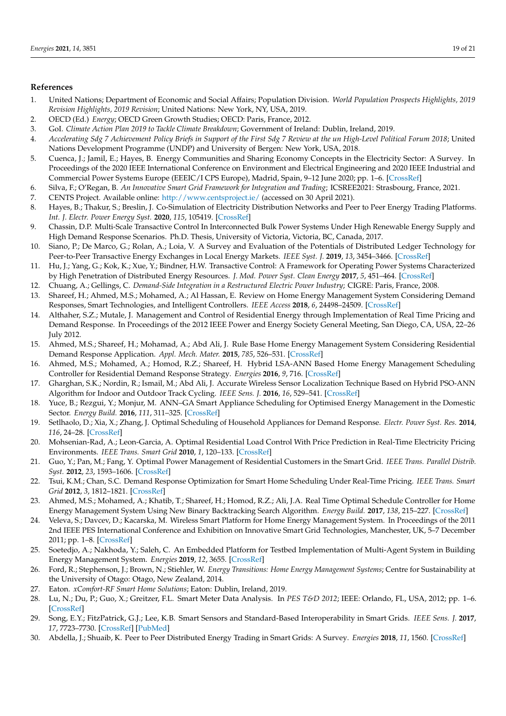## **References**

- <span id="page-18-0"></span>1. United Nations; Department of Economic and Social Affairs; Population Division. *World Population Prospects Highlights, 2019 Revision Highlights, 2019 Revision*; United Nations: New York, NY, USA, 2019.
- <span id="page-18-1"></span>2. OECD (Ed.) *Energy*; OECD Green Growth Studies; OECD: Paris, France, 2012.
- <span id="page-18-2"></span>3. GoI. *Climate Action Plan 2019 to Tackle Climate Breakdown*; Government of Ireland: Dublin, Ireland, 2019.
- <span id="page-18-3"></span>4. *Accelerating Sdg 7 Achievement Policy Briefs in Support of the First Sdg 7 Review at the un High-Level Political Forum 2018*; United Nations Development Programme (UNDP) and University of Bergen: New York, USA, 2018.
- <span id="page-18-4"></span>5. Cuenca, J.; Jamil, E.; Hayes, B. Energy Communities and Sharing Economy Concepts in the Electricity Sector: A Survey. In Proceedings of the 2020 IEEE International Conference on Environment and Electrical Engineering and 2020 IEEE Industrial and Commercial Power Systems Europe (EEEIC/I CPS Europe), Madrid, Spain, 9–12 June 2020; pp. 1–6. [\[CrossRef\]](http://doi.org/10.1109/EEEIC/ICPSEurope49358.2020.9160498)
- <span id="page-18-5"></span>6. Silva, F.; O'Regan, B. *An Innovative Smart Grid Framework for Integration and Trading*; ICSREE2021: Strasbourg, France, 2021.
- <span id="page-18-6"></span>7. CENTS Project. Available online: <http://www.centsproject.ie/> (accessed on 30 April 2021).
- <span id="page-18-7"></span>8. Hayes, B.; Thakur, S.; Breslin, J. Co-Simulation of Electricity Distribution Networks and Peer to Peer Energy Trading Platforms. *Int. J. Electr. Power Energy Syst.* **2020**, *115*, 105419. [\[CrossRef\]](http://dx.doi.org/10.1016/j.ijepes.2019.105419)
- <span id="page-18-8"></span>9. Chassin, D.P. Multi-Scale Transactive Control In Interconnected Bulk Power Systems Under High Renewable Energy Supply and High Demand Response Scenarios. Ph.D. Thesis, University of Victoria, Victoria, BC, Canada, 2017.
- <span id="page-18-9"></span>10. Siano, P.; De Marco, G.; Rolan, A.; Loia, V. A Survey and Evaluation of the Potentials of Distributed Ledger Technology for Peer-to-Peer Transactive Energy Exchanges in Local Energy Markets. *IEEE Syst. J.* **2019**, *13*, 3454–3466. [\[CrossRef\]](http://dx.doi.org/10.1109/JSYST.2019.2903172)
- <span id="page-18-10"></span>11. Hu, J.; Yang, G.; Kok, K.; Xue, Y.; Bindner, H.W. Transactive Control: A Framework for Operating Power Systems Characterized by High Penetration of Distributed Energy Resources. *J. Mod. Power Syst. Clean Energy* **2017**, *5*, 451–464. [\[CrossRef\]](http://dx.doi.org/10.1007/s40565-016-0228-1)
- <span id="page-18-11"></span>12. Chuang, A.; Gellings, C. *Demand-Side Integration in a Restructured Electric Power Industry*; CIGRE: Paris, France, 2008.
- <span id="page-18-12"></span>13. Shareef, H.; Ahmed, M.S.; Mohamed, A.; Al Hassan, E. Review on Home Energy Management System Considering Demand Responses, Smart Technologies, and Intelligent Controllers. *IEEE Access* **2018**, *6*, 24498–24509. [\[CrossRef\]](http://dx.doi.org/10.1109/ACCESS.2018.2831917)
- <span id="page-18-13"></span>14. Althaher, S.Z.; Mutale, J. Management and Control of Residential Energy through Implementation of Real Time Pricing and Demand Response. In Proceedings of the 2012 IEEE Power and Energy Society General Meeting, San Diego, CA, USA, 22–26 July 2012.
- <span id="page-18-14"></span>15. Ahmed, M.S.; Shareef, H.; Mohamad, A.; Abd Ali, J. Rule Base Home Energy Management System Considering Residential Demand Response Application. *Appl. Mech. Mater.* **2015**, *785*, 526–531. [\[CrossRef\]](http://dx.doi.org/10.4028/www.scientific.net/AMM.785.526)
- <span id="page-18-15"></span>16. Ahmed, M.S.; Mohamed, A.; Homod, R.Z.; Shareef, H. Hybrid LSA-ANN Based Home Energy Management Scheduling Controller for Residential Demand Response Strategy. *Energies* **2016**, *9*, 716. [\[CrossRef\]](http://dx.doi.org/10.3390/en9090716)
- 17. Gharghan, S.K.; Nordin, R.; Ismail, M.; Abd Ali, J. Accurate Wireless Sensor Localization Technique Based on Hybrid PSO-ANN Algorithm for Indoor and Outdoor Track Cycling. *IEEE Sens. J.* **2016**, *16*, 529–541. [\[CrossRef\]](http://dx.doi.org/10.1109/JSEN.2015.2483745)
- <span id="page-18-16"></span>18. Yuce, B.; Rezgui, Y.; Monjur, M. ANN–GA Smart Appliance Scheduling for Optimised Energy Management in the Domestic Sector. *Energy Build.* **2016**, *111*, 311–325. [\[CrossRef\]](http://dx.doi.org/10.1016/j.enbuild.2015.11.017)
- <span id="page-18-17"></span>19. Setlhaolo, D.; Xia, X.; Zhang, J. Optimal Scheduling of Household Appliances for Demand Response. *Electr. Power Syst. Res.* **2014**, *116*, 24–28. [\[CrossRef\]](http://dx.doi.org/10.1016/j.epsr.2014.04.012)
- 20. Mohsenian-Rad, A.; Leon-Garcia, A. Optimal Residential Load Control With Price Prediction in Real-Time Electricity Pricing Environments. *IEEE Trans. Smart Grid* **2010**, *1*, 120–133. [\[CrossRef\]](http://dx.doi.org/10.1109/TSG.2010.2055903)
- 21. Guo, Y.; Pan, M.; Fang, Y. Optimal Power Management of Residential Customers in the Smart Grid. *IEEE Trans. Parallel Distrib. Syst.* **2012**, *23*, 1593–1606. [\[CrossRef\]](http://dx.doi.org/10.1109/TPDS.2012.25)
- 22. Tsui, K.M.; Chan, S.C. Demand Response Optimization for Smart Home Scheduling Under Real-Time Pricing. *IEEE Trans. Smart Grid* **2012**, *3*, 1812–1821. [\[CrossRef\]](http://dx.doi.org/10.1109/TSG.2012.2218835)
- <span id="page-18-18"></span>23. Ahmed, M.S.; Mohamed, A.; Khatib, T.; Shareef, H.; Homod, R.Z.; Ali, J.A. Real Time Optimal Schedule Controller for Home Energy Management System Using New Binary Backtracking Search Algorithm. *Energy Build.* **2017**, *138*, 215–227. [\[CrossRef\]](http://dx.doi.org/10.1016/j.enbuild.2016.12.052)
- <span id="page-18-19"></span>24. Veleva, S.; Davcev, D.; Kacarska, M. Wireless Smart Platform for Home Energy Management System. In Proceedings of the 2011 2nd IEEE PES International Conference and Exhibition on Innovative Smart Grid Technologies, Manchester, UK, 5–7 December 2011; pp. 1–8. [\[CrossRef\]](http://dx.doi.org/10.1109/ISGTEurope.2011.6162798)
- 25. Soetedjo, A.; Nakhoda, Y.; Saleh, C. An Embedded Platform for Testbed Implementation of Multi-Agent System in Building Energy Management System. *Energies* **2019**, *12*, 3655. [\[CrossRef\]](http://dx.doi.org/10.3390/en12193655)
- <span id="page-18-20"></span>26. Ford, R.; Stephenson, J.; Brown, N.; Stiehler, W. *Energy Transitions: Home Energy Management Systems*; Centre for Sustainability at the University of Otago: Otago, New Zealand, 2014.
- <span id="page-18-21"></span>27. Eaton. *xComfort-RF Smart Home Solutions*; Eaton: Dublin, Ireland, 2019.
- <span id="page-18-22"></span>28. Lu, N.; Du, P.; Guo, X.; Greitzer, F.L. Smart Meter Data Analysis. In *PES T&D 2012*; IEEE: Orlando, FL, USA, 2012; pp. 1–6. [\[CrossRef\]](http://dx.doi.org/10.1109/TDC.2012.6281612)
- <span id="page-18-23"></span>29. Song, E.Y.; FitzPatrick, G.J.; Lee, K.B. Smart Sensors and Standard-Based Interoperability in Smart Grids. *IEEE Sens. J.* **2017**, *17*, 7723–7730. [\[CrossRef\]](http://dx.doi.org/10.1109/JSEN.2017.2729893) [\[PubMed\]](http://www.ncbi.nlm.nih.gov/pubmed/30983908)
- <span id="page-18-24"></span>30. Abdella, J.; Shuaib, K. Peer to Peer Distributed Energy Trading in Smart Grids: A Survey. *Energies* **2018**, *11*, 1560. [\[CrossRef\]](http://dx.doi.org/10.3390/en11061560)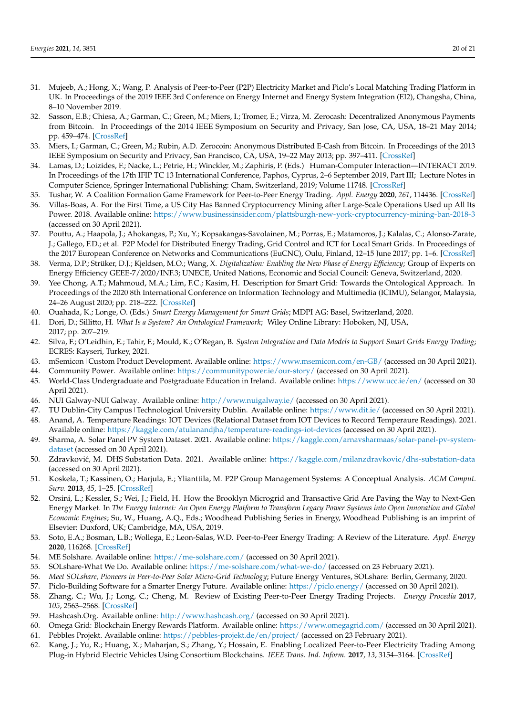- <span id="page-19-0"></span>31. Mujeeb, A.; Hong, X.; Wang, P. Analysis of Peer-to-Peer (P2P) Electricity Market and Piclo's Local Matching Trading Platform in UK. In Proceedings of the 2019 IEEE 3rd Conference on Energy Internet and Energy System Integration (EI2), Changsha, China, 8–10 November 2019.
- <span id="page-19-1"></span>32. Sasson, E.B.; Chiesa, A.; Garman, C.; Green, M.; Miers, I.; Tromer, E.; Virza, M. Zerocash: Decentralized Anonymous Payments from Bitcoin. In Proceedings of the 2014 IEEE Symposium on Security and Privacy, San Jose, CA, USA, 18–21 May 2014; pp. 459–474. [\[CrossRef\]](http://dx.doi.org/10.1109/SP.2014.36)
- <span id="page-19-2"></span>33. Miers, I.; Garman, C.; Green, M.; Rubin, A.D. Zerocoin: Anonymous Distributed E-Cash from Bitcoin. In Proceedings of the 2013 IEEE Symposium on Security and Privacy, San Francisco, CA, USA, 19–22 May 2013; pp. 397–411. [\[CrossRef\]](http://dx.doi.org/10.1109/SP.2013.34)
- <span id="page-19-3"></span>34. Lamas, D.; Loizides, F.; Nacke, L.; Petrie, H.; Winckler, M.; Zaphiris, P. (Eds.) Human-Computer Interaction—INTERACT 2019. In Proceedings of the 17th IFIP TC 13 International Conference, Paphos, Cyprus, 2–6 September 2019, Part III; Lecture Notes in Computer Science, Springer International Publishing: Cham, Switzerland, 2019; Volume 11748. [\[CrossRef\]](http://dx.doi.org/10.1007/978-3-030-29387-1)
- <span id="page-19-4"></span>35. Tushar, W. A Coalition Formation Game Framework for Peer-to-Peer Energy Trading. *Appl. Energy* **2020**, *261*, 114436. [\[CrossRef\]](http://dx.doi.org/10.1016/j.apenergy.2019.114436)
- <span id="page-19-5"></span>36. Villas-Boas, A. For the First Time, a US City Has Banned Cryptocurrency Mining after Large-Scale Operations Used up All Its Power. 2018. Available online: <https://www.businessinsider.com/plattsburgh-new-york-cryptocurrency-mining-ban-2018-3> (accessed on 30 April 2021).
- <span id="page-19-6"></span>37. Pouttu, A.; Haapola, J.; Ahokangas, P.; Xu, Y.; Kopsakangas-Savolainen, M.; Porras, E.; Matamoros, J.; Kalalas, C.; Alonso-Zarate, J.; Gallego, F.D.; et al. P2P Model for Distributed Energy Trading, Grid Control and ICT for Local Smart Grids. In Proceedings of the 2017 European Conference on Networks and Communications (EuCNC), Oulu, Finland, 12–15 June 2017; pp. 1–6. [\[CrossRef\]](http://dx.doi.org/10.1109/EuCNC.2017.7980652)
- <span id="page-19-7"></span>38. Verma, D.P.; Strüker, D.J.; Kjeldsen, M.O.; Wang, X. *Digitalization: Enabling the New Phase of Energy Efficiency*; Group of Experts on Energy Efficiency GEEE-7/2020/INF.3; UNECE, United Nations, Economic and Social Council: Geneva, Switzerland, 2020.
- <span id="page-19-8"></span>39. Yee Chong, A.T.; Mahmoud, M.A.; Lim, F.C.; Kasim, H. Description for Smart Grid: Towards the Ontological Approach. In Proceedings of the 2020 8th International Conference on Information Technology and Multimedia (ICIMU), Selangor, Malaysia, 24–26 August 2020; pp. 218–222. [\[CrossRef\]](http://dx.doi.org/10.1109/ICIMU49871.2020.9243313)
- <span id="page-19-9"></span>40. Ouahada, K.; Longe, O. (Eds.) *Smart Energy Management for Smart Grids*; MDPI AG: Basel, Switzerland, 2020.
- <span id="page-19-10"></span>41. Dori, D.; Sillitto, H. *What Is a System? An Ontological Framework*; Wiley Online Library: Hoboken, NJ, USA, 2017; pp. 207–219.
- <span id="page-19-11"></span>42. Silva, F.; O'Leidhin, E.; Tahir, F.; Mould, K.; O'Regan, B. *System Integration and Data Models to Support Smart Grids Energy Trading*; ECRES: Kayseri, Turkey, 2021.
- <span id="page-19-12"></span>43. mSemicon|Custom Product Development. Available online: <https://www.msemicon.com/en-GB/> (accessed on 30 April 2021).
- <span id="page-19-14"></span><span id="page-19-13"></span>44. Community Power. Available online: <https://communitypower.ie/our-story/> (accessed on 30 April 2021).
- 45. World-Class Undergraduate and Postgraduate Education in Ireland. Available online: <https://www.ucc.ie/en/> (accessed on 30 April 2021).
- <span id="page-19-15"></span>46. NUI Galway-NUI Galway. Available online: <http://www.nuigalway.ie/> (accessed on 30 April 2021).
- <span id="page-19-17"></span><span id="page-19-16"></span>47. TU Dublin-City Campus|Technological University Dublin. Available online: <https://www.dit.ie/> (accessed on 30 April 2021). 48. Anand, A. Temperature Readings: IOT Devices (Relational Dataset from IOT Devices to Record Temperaure Readings). 2021.
- <span id="page-19-18"></span>Available online: <https://kaggle.com/atulanandjha/temperature-readings-iot-devices> (accessed on 30 April 2021). 49. Sharma, A. Solar Panel PV System Dataset. 2021. Available online: [https://kaggle.com/arnavsharmaas/solar-panel-pv-system-](https://kaggle.com/arnavsharmaas/solar-panel-pv-system-dataset)
- [dataset](https://kaggle.com/arnavsharmaas/solar-panel-pv-system-dataset) (accessed on 30 April 2021).
- <span id="page-19-19"></span>50. Zdravković, M. DHS Substation Data. 2021. Available online: <https://kaggle.com/milanzdravkovic/dhs-substation-data> (accessed on 30 April 2021).
- <span id="page-19-20"></span>51. Koskela, T.; Kassinen, O.; Harjula, E.; Ylianttila, M. P2P Group Management Systems: A Conceptual Analysis. *ACM Comput. Surv.* **2013**, *45*, 1–25. [\[CrossRef\]](http://dx.doi.org/10.1145/2431211.2431219)
- <span id="page-19-21"></span>52. Orsini, L.; Kessler, S.; Wei, J.; Field, H. How the Brooklyn Microgrid and Transactive Grid Are Paving the Way to Next-Gen Energy Market. In *The Energy Internet: An Open Energy Platform to Transform Legacy Power Systems into Open Innovation and Global Economic Engines*; Su, W., Huang, A.Q., Eds.; Woodhead Publishing Series in Energy, Woodhead Publishing is an imprint of Elsevier: Duxford, UK; Cambridge, MA, USA, 2019.
- <span id="page-19-22"></span>53. Soto, E.A.; Bosman, L.B.; Wollega, E.; Leon-Salas, W.D. Peer-to-Peer Energy Trading: A Review of the Literature. *Appl. Energy* **2020**, 116268. [\[CrossRef\]](http://dx.doi.org/10.1016/j.apenergy.2020.116268)
- <span id="page-19-23"></span>54. ME Solshare. Available online: <https://me-solshare.com/> (accessed on 30 April 2021).
- <span id="page-19-24"></span>55. SOLshare-What We Do. Available online: <https://me-solshare.com/what-we-do/> (accessed on 23 February 2021).
- <span id="page-19-25"></span>56. *Meet SOLshare, Pioneers in Peer-to-Peer Solar Micro-Grid Technology*; Future Energy Ventures, SOLshare: Berlin, Germany, 2020.
- <span id="page-19-26"></span>57. Piclo-Building Software for a Smarter Energy Future. Available online: <https://piclo.energy/> (accessed on 30 April 2021).
- <span id="page-19-27"></span>58. Zhang, C.; Wu, J.; Long, C.; Cheng, M. Review of Existing Peer-to-Peer Energy Trading Projects. *Energy Procedia* **2017**, *105*, 2563–2568. [\[CrossRef\]](http://dx.doi.org/10.1016/j.egypro.2017.03.737)
- <span id="page-19-28"></span>59. Hashcash.Org. Available online: <http://www.hashcash.org/> (accessed on 30 April 2021).
- <span id="page-19-30"></span><span id="page-19-29"></span>60. Omega Grid: Blockchain Energy Rewards Platform. Available online: <https://www.omegagrid.com/> (accessed on 30 April 2021). 61. Pebbles Projekt. Available online: <https://pebbles-projekt.de/en/project/> (accessed on 23 February 2021).
- <span id="page-19-31"></span>62. Kang, J.; Yu, R.; Huang, X.; Maharjan, S.; Zhang, Y.; Hossain, E. Enabling Localized Peer-to-Peer Electricity Trading Among Plug-in Hybrid Electric Vehicles Using Consortium Blockchains. *IEEE Trans. Ind. Inform.* **2017**, *13*, 3154–3164. [\[CrossRef\]](http://dx.doi.org/10.1109/TII.2017.2709784)